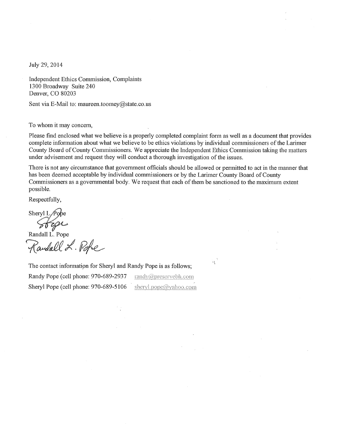July 29, 2014

Independent Ethics Commission, Complaints 1300 Broadway Suite 240 Denver, CO 80203

Sent via E-Mail to: maureen.toomey@state.co.us

To whom it may concern,

Please find enclosed what we believe is a properly completed complaint form as well as a document that provides complete information about what we believe to be ethics violations by individual commissioners of the Larimer County Board of County Commissioners. We appreciate the Independent Ethics Commission taking the matters under advisement and request they will conduct a thorough investigation of the issues.

There is not any circumstance that government officials should be allowed or permitted to act in the manner that has been deemed acceptable by individual commissioners or by the Larimer County Board of County Commissioners as a governmental body. We request that each of them be sanctioned to the maximum extent possible.

Respectfully,

Sheryl L $\bigwedge$ Sofge

Randall L. Pope

The contact information for Sheryl and Randy Pope is as follows; Randy Pope (cell phone: 970-689-2937  $\text{randy}(\widehat{a})$ preservebh.com Sheryl Pope (cell phone: 970-689-5106

sheryl.pope@yahoo.com

 $\mu\tau$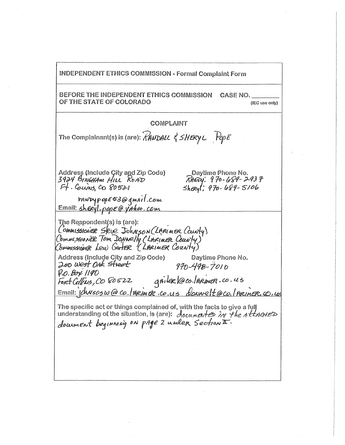**INDEPENDENT ETHICS COMMISSION - Formal Complaint Form** BEFORE THE INDEPENDENT ETHICS COMMISSION CASE NO. OF THE STATE OF COLORADO (IEC use only) COMPLAINT The Complainant(s) is (are):  $\hat{R}$ ANDALL  $\hat{\xi}$  SHERY L  $P$ OpE Address (Include Çity and Zip Code) Daytime Phone No. 3924 BINGHAM HILL ROAD RANDY: 970-689-2937 Ft. Couns, CO 80521  $Shexp(7970 - 689 - 5106$ randypopE53@gmail.com<br>Email: sheeyl.popE@yahoo.com The Respondent(s) is (are): CommissionER Skie Johnson (LARIMER County) CommissionER Tom Downelly (LARIMER County) CommissionER Lew GARTER (LARIMER County) **Address (Include City and Zip Code)** Daytime Phone No. 200 West OAK street  $970 - 498 - 7010$ **P.O. Box 1190** griter loco. Infinien.co.us Foret Collins, CO 80522 Email: phrsosw@co./meimer.co.us downelt@co./ARIMER.co.us The specific act or things complained of, with the facts to give a full understanding of the situation, is (are):  $d_{ocu}$  at the Attracted document beginning on page 2 under Sections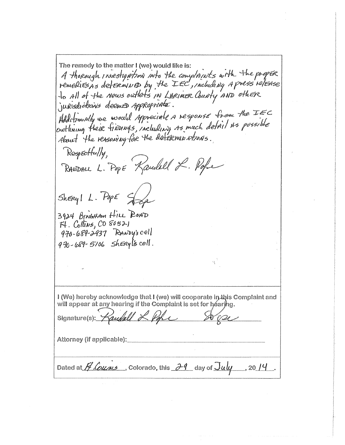The remedy to the matter I (we) would like is: A thorough investigation into the complituts with the proper.<br>remedies as determined by the IEC, including a press release jurisdictions deemed Appropriate. Additionally we would appreciate a response from the IEC outlining their finoings, including as much defail as possible About the reasoning for the deference ations. Respectfully, RANDALL. POPE "Rauchell L. Pope Sheryl L. PopE S 3924 BINGHAM HILL ROAD  $F4.$  Collins, CO  $80521$ 970-689-2937 RANDY's cell 970-689-5106 ShERyl's cell. I (We) hereby acknowledge that I (we) will cooperate in this Complaint and will appear at any hearing if the Complaint is set for héaring. andall L. Por Signature(s): Attorney (if applicable): Dated at  $H$  Couns , Colorado, this  $H$  day of  $July = 2014$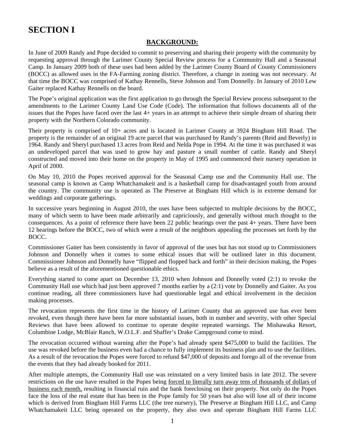# **SECTION I**

## **BACKGROUND:**

In June of 2009 Randy and Pope decided to commit to preserving and sharing their property with the community by requesting approval through the Larimer County Special Review process for a Community Hall and a Seasonal Camp. In January 2009 both of these uses had been added by the Larimer County Board of County Commissioners (BOCC) as allowed uses in the FA-Farming zoning district. Therefore, a change in zoning was not necessary. At that time the BOCC was comprised of Kathay Rennells, Steve Johnson and Tom Donnelly. In January of 2010 Lew Gaiter replaced Kathay Rennells on the board.

The Pope's original application was the first application to go through the Special Review process subsequent to the amendments to the Larimer County Land Use Code (Code). The information that follows documents all of the issues that the Popes have faced over the last 4+ years in an attempt to achieve their simple dream of sharing their property with the Northern Colorado community.

Their property is comprised of 10+ acres and is located in Larimer County at 3924 Bingham Hill Road. The property is the remainder of an original 19 acre parcel that was purchased by Randy's parents (Reid and Beverly) in 1964. Randy and Sheryl purchased 13 acres from Reid and Nelda Pope in 1994. At the time it was purchased it was an undeveloped parcel that was used to grow hay and pasture a small number of cattle. Randy and Sheryl constructed and moved into their home on the property in May of 1995 and commenced their nursery operation in April of 2000.

On May 10, 2010 the Popes received approval for the Seasonal Camp use and the Community Hall use. The seasonal camp is known as Camp Whatchamakeit and is a basketball camp for disadvantaged youth from around the country. The community use is operated as The Preserve at Bingham Hill which is in extreme demand for weddings and corporate gatherings.

In successive years beginning in August 2010, the uses have been subjected to multiple decisions by the BOCC, many of which seem to have been made arbitrarily and capriciously, and generally without much thought to the consequences. As a point of reference there have been 22 public hearings over the past 4+ years. There have been 12 hearings before the BOCC, two of which were a result of the neighbors appealing the processes set forth by the BOCC.

Commissioner Gaiter has been consistently in favor of approval of the uses but has not stood up to Commissioners Johnson and Donnelly when it comes to some ethical issues that will be outlined later in this document. Commissioner Johnson and Donnelly have "flipped and flopped back and forth" in their decision making, the Popes believe as a result of the aforementioned questionable ethics.

Everything started to come apart on December 13, 2010 when Johnson and Donnelly voted (2:1) to revoke the Community Hall use which had just been approved 7 months earlier by a (2:1) vote by Donnelly and Gaiter. As you continue reading, all three commissioners have had questionable legal and ethical involvement in the decision making processes.

The revocation represents the first time in the history of Larimer County that an approved use has ever been revoked, even though there have been far more substantial issues, both in number and severity, with other Special Reviews that have been allowed to continue to operate despite repeated warnings. The Mishawaka Resort, Columbine Lodge, McBlair Ranch, W.O.L.F. and Shaffer's Drake Campground come to mind.

The revocation occurred without warning after the Pope's had already spent \$475,000 to build the facilities. The use was revoked before the business even had a chance to fully implement its business plan and to use the facilities. As a result of the revocation the Popes were forced to refund \$47,000 of deposits and forego all of the revenue from the events that they had already booked for 2011.

After multiple attempts, the Community Hall use was reinstated on a very limited basis in late 2012. The severe restrictions on the use have resulted in the Popes being forced to literally turn away tens of thousands of dollars of business each month, resulting in financial ruin and the bank foreclosing on their property. Not only do the Popes face the loss of the real estate that has been in the Pope family for 50 years but also will lose all of their income which is derived from Bingham Hill Farms LLC (the tree nursery), The Preserve at Bingham Hill LLC, and Camp Whatchamakeit LLC being operated on the property, they also own and operate Bingham Hill Farms LLC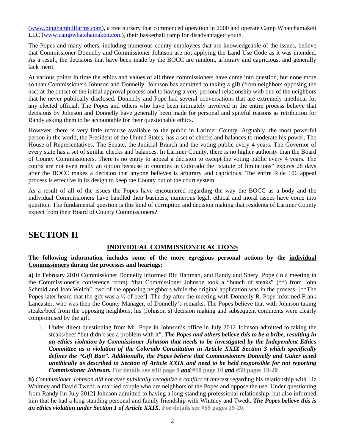[\(www.binghamhillfarms.com\)](http://www.binghamhillfarms.com/), a tree nursery that commenced operation in 2000 and operate Camp Whatchamakeit LLC ([www.campwhatchamakeit.com](http://www.campwhatchamakeit.com/)), their basketball camp for disadvantaged youth.

The Popes and many others, including numerous county employees that are knowledgeable of the issues, believe that Commissioner Donnelly and Commissioner Johnson are not applying the Land Use Code as it was intended. As a result, the decisions that have been made by the BOCC are random, arbitrary and capricious, and generally lack merit.

At various points in time the ethics and values of all three commissioners have come into question, but none more so than Commissioners Johnson and Donnelly. Johnson has admitted to taking a gift (from neighbors opposing the use) at the outset of the initial approval process and to having a very personal relationship with one of the neighbors that he never publically disclosed. Donnelly and Pope had several conversations that are extremely unethical for any elected official. The Popes and others who have been intimately involved in the entire process believe that decisions by Johnson and Donnelly have generally been made for personal and spiteful reasons as retribution for Randy asking them to be accountable for their questionable ethics.

However, there is very little recourse available to the public in Larimer County. Arguably, the most powerful person in the world, the President of the United States, has a set of checks and balances to moderate his power; The House of Representatives, The Senate, the Judicial Branch and the voting public every 4 years. The Governor of every state has a set of similar checks and balances. In Larimer County, there is no higher authority than the Board of County Commissioners. There is no entity to appeal a decision to except the voting public every 4 years. The courts are not even really an option because in counties in Colorado the "statute of limitations" expires 28 days after the BOCC makes a decision that anyone believes is arbitrary and capricious. The entire Rule 106 appeal process is effective in its design to keep the County out of the court system.

As a result of all of the issues the Popes have encountered regarding the way the BOCC as a body and the individual Commissioners have handled their business, numerous legal, ethical and moral issues have come into question. The fundamental question is this kind of corruption and decision making that residents of Larimer County expect from their Board of County Commissioners?

# **SECTION II**

# **INDIVIDUAL COMMISSIONER ACTIONS**

### **The following information includes some of the more egregious personal actions by the individual Commissioners during the processes and hearings;**

**a)** In February 2010 Commissioner Donnelly informed Ric Hattman, and Randy and Sheryl Pope (in a meeting in the Commissioner's conference room) "that Commissioner Johnson took a "bunch of steaks" (\*\*) from John Schmid and Joan Welch", two of the opposing neighbors while the original application was in the process. [\*\*The Popes later heard that the gift was a <sup>1/2</sup> of beef] The day after the meeting with Donnelly R. Pope informed Frank Lancaster, who was then the County Manager, of Donnelly's remarks. The Popes believe that with Johnson taking steaks/beef from the opposing neighbors, his (Johnson's) decision making and subsequent comments were clearly compromised by the gift.

1. Under direct questioning from Mr. Pope in Johnson's office in July 2012 Johnson admitted to taking the steaks/beef "but didn't see a problem with it". *The Popes and others believe this to be a bribe, resulting in an ethics violation by Commissioner Johnson that needs to be investigated by the Independent Ethics Committee as a violation of the Colorado Constitution in Article XXIX Section 3 which specifically defines the "Gift Ban". Additionally, the Popes believe that Commissioners Donnelly and Gaiter acted unethically as described in Section of Article XXIX and need to be held responsible for not reporting Commissioner Johnson.* **For details see #10 page 9** *and* **#18 page 10** *and* **#59 pages 19-20**

**b)** *Commissioner Johnson did not ever publically recognize a conflict of interest* regarding his relationship with Liz Whitney and David Twedt, a married couple who are neighbors of the Popes and oppose the use. Under questioning from Randy [in July 2012] Johnson admitted to having a long-standing professional relationship, but also informed him that he had a long standing personal and family friendship with Whitney and Twedt. *The Popes believe this is an ethics violation under Section 1 of Article XXIX.* **For details see #59 pages 19-20.**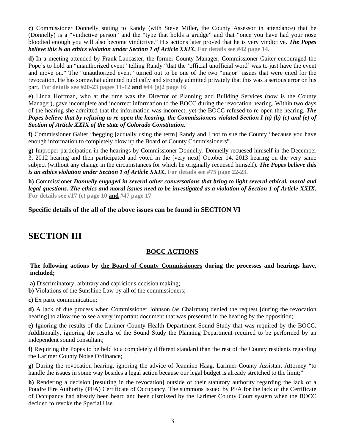**c)** Commissioner Donnelly stating to Randy (with Steve Miller, the County Assessor in attendance) that he (Donnelly) is a "vindictive person" and the "type that holds a grudge" and that "once you have had your nose bloodied enough you will also become vindictive." His actions later proved that he is very vindictive. *The Popes believe this is an ethics violation under Section 1 of Article XXIX.* **For details see #42 page 14.**

**d)** In a meeting attended by Frank Lancaster, the former County Manager, Commissioner Gaiter encouraged the Pope's to hold an "unauthorized event" telling Randy "that the 'official unofficial word' was to just have the event and move on." The "unauthorized event" turned out to be one of the two "major" issues that were cited for the revocation. He has somewhat admitted publically and strongly admitted privately that this was a serious error on his part. **For details see #20-23 pages 11-12 and #44 (g)2 page 16**

**e)** Linda Hoffman, who at the time was the Director of Planning and Building Services (now is the County Manager), gave incomplete and incorrect information to the BOCC during the revocation hearing. Within two days of the hearing she admitted that the information was incorrect, yet the BOCC refused to re-open the hearing. *The Popes believe that by refusing to re-open the hearing, the Commissioners violated Section I (a) (b) (c) and (e) of Section of Article XXIX of the state of Colorado Constitution.* 

**f)** Commissioner Gaiter "begging [actually using the term] Randy and I not to sue the County "because you have enough information to completely blow up the Board of County Commissioners".

**g)** Improper participation in the hearings by Commissioner Donnelly. Donnelly recuesed himself in the December 3, 2012 hearing and then participated and voted in the [very next] October 14, 2013 hearing on the very same subject (without any change in the circumstances for which he originally recuesed himself). *The Popes believe this is an ethics violation under Section 1 of Article XXIX.* For details see #75 page 22-23.

**h)** Commissioner *Donnelly engaged in several other conversations that bring to light several ethical, moral and legal questions. The ethics and moral issues need to be investigated as a violation of Section 1 of Article XXIX.* **For details see #17 (c) page 10 and #47 page 17**

## **Specific details of the all of the above issues can be found in SECTION VI**

# **SECTION III**

# **BOCC ACTIONS**

### **The following actions by the Board of County Commissioners during the processes and hearings have, included;**

 **a)** Discriminatory, arbitrary and capricious decision making;

**b)** Violations of the Sunshine Law by all of the commissioners;

**c)** Ex parte communication;

**d)** A lack of due process when Commissioner Johnson (as Chairman) denied the request [during the revocation hearing] to allow me to see a very important document that was presented in the hearing by the opposition;

**e)** Ignoring the results of the Larimer County Health Department Sound Study that was required by the BOCC. Additionally, ignoring the results of the Sound Study the Planning Department required to be performed by an independent sound consultant;

**f)** Requiring the Popes to be held to a completely different standard than the rest of the County residents regarding the Larimer County Noise Ordinance;

**g)** During the revocation hearing**,** ignoring the advice of Jeannine Haag, Larimer County Assistant Attorney "to handle the issues in some way besides a legal action because our legal budget is already stretched to the limit;"

**h)** Rendering a decision [resulting in the revocation] outside of their statutory authority regarding the lack of a Poudre Fire Authority (PFA) Certificate of Occupancy. The summons issued by PFA for the lack of the Certificate of Occupancy had already been heard and been dismissed by the Larimer County Court system when the BOCC decided to revoke the Special Use.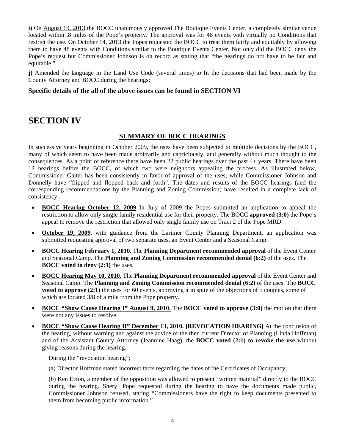**i)** On August 19, 2013 the BOCC unanimously approved The Boutique Events Center, a completely similar venue located within .8 miles of the Pope's property. The approval was for 48 events with virtually no Conditions that restrict the use. On October 14, 2013 the Popes requested the BOCC to treat them fairly and equitably by allowing them to have 48 events with Conditions similar to the Boutique Events Center. Not only did the BOCC deny the Pope's request but Commissioner Johnson is on record as stating that "the hearings do not have to be fair and equitable."

**j)** Amended the language in the Land Use Code (several times) to fit the decisions that had been made by the County Attorney and BOCC during the hearings;

### **Specific details of the all of the above issues can be found in SECTION VI**

# **SECTION IV**

### **SUMMARY OF BOCC HEARINGS**

In successive years beginning in October 2009, the uses have been subjected to multiple decisions by the BOCC, many of which seem to have been made arbitrarily and capriciously, and generally without much thought to the consequences. As a point of reference there have been 22 public hearings over the past 4+ years. There have been 12 hearings before the BOCC, of which two were neighbors appealing the process. As illustrated below, Commissioner Gaiter has been consistently in favor of approval of the uses, while Commissioner Johnson and Donnelly have "flipped and flopped back and forth". The dates and results of the BOCC hearings (and the corresponding recommendations by the Planning and Zoning Commission) have resulted in a complete lack of consistency.

- **BOCC Hearing October 12, 2009** In July of 2009 the Popes submitted an application to appeal the restriction to allow only single family residential use for their property. The BOCC **approved (3:0)** the Pope's appeal to remove the restriction that allowed only single family use on Tract 2 of the Pope MRD.
- **October 19, 2009**, with guidance from the Larimer County Planning Department, an application was submitted requesting approval of two separate uses, an Event Center and a Seasonal Camp.
- **BOCC Hearing February 1, 2010.** The **Planning Department recommended approval** of the Event Center and Seasonal Camp. The **Planning and Zoning Commission recommended denial (6:2)** of the uses. The **BOCC** voted to deny  $(2:1)$  the uses.
- **BOCC Hearing May 10, 2010.** The **Planning Department recommended approval** of the Event Center and Seasonal Camp. The **Planning and Zoning Commission recommended denial (6:2)** of the uses. The **BOCC voted to approve (2:1)** the uses for 60 events, approving it in spite of the objections of 5 couples, some of which are located 3/8 of a mile from the Pope property.
- **BOCC "Show Cause Hearing I" August 9, 2010.** The **BOCC voted to approve (3:0)** the motion that there were not any issues to resolve.
- **BOCC "Show Cause Hearing II" December 13, 2010. [REVOCATION HEARING]** At the conclusion of the hearing, without warning and against the advice of the then current Director of Planning (Linda Hoffman) and of the Assistant County Attorney (Jeannine Haag), the **BOCC voted (2:1) to revoke the use** without giving reasons during the hearing.

During the "revocation hearing";

(a) Director Hoffman stated incorrect facts regarding the dates of the Certificates of Occupancy;

 (b) Ken Ecton, a member of the opposition was allowed to present "written material" directly to the BOCC during the hearing. Sheryl Pope requested during the hearing to have the documents made public, Commissioner Johnson refused, stating "Commissioners have the right to keep documents presented to them from becoming public information."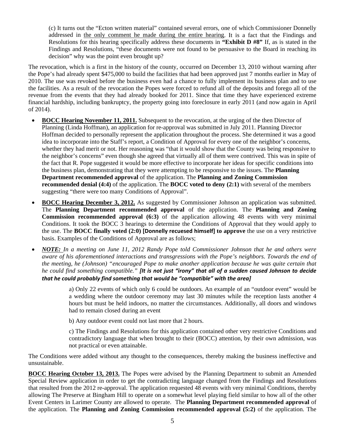(c) It turns out the "Ecton written material" contained several errors, one of which Commissioner Donnelly addressed in the only comment he made during the entire hearing. It is a fact that the Findings and Resolutions for this hearing specifically address these documents in **"Exhibit D #8"** If, as is stated in the Findings and Resolutions, "these documents were not found to be persuasive to the Board in reaching its decision" why was the point even brought up?

The revocation, which is a first in the history of the county, occurred on December 13, 2010 without warning after the Pope's had already spent \$475,000 to build the facilities that had been approved just 7 months earlier in May of 2010. The use was revoked before the business even had a chance to fully implement its business plan and to use the facilities. As a result of the revocation the Popes were forced to refund all of the deposits and forego all of the revenue from the events that they had already booked for 2011. Since that time they have experienced extreme financial hardship, including bankruptcy, the property going into foreclosure in early 2011 (and now again in April of 2014).

- **BOCC Hearing November 11, 2011.** Subsequent to the revocation, at the urging of the then Director of Planning (Linda Hoffman), an application for re-approval was submitted in July 2011. Planning Director Hoffman decided to personally represent the application throughout the process. She determined it was a good idea to incorporate into the Staff's report, a Condition of Approval for every one of the neighbor's concerns, whether they had merit or not. Her reasoning was "that it would show that the County was being responsive to the neighbor's concerns" even though she agreed that virtually all of them were contrived. This was in spite of the fact that R. Pope suggested it would be more effective to incorporate her ideas for specific conditions into the business plan, demonstrating that they were attempting to be responsive to the issues. The **Planning Department recommended approval** of the application. The **Planning and Zoning Commission recommended denial (4:4)** of the application. The **BOCC** voted to deny (2:1) with several of the members suggesting "there were too many Conditions of Approval".
- **BOCC Hearing December 3, 2012.** As suggested by Commissioner Johnson an application was submitted. The **Planning Department recommended approval** of the application. The **Planning and Zoning Commission recommended approval (6:3)** of the application allowing 48 events with very minimal Conditions. It took the BOCC 3 hearings to determine the Conditions of Approval that they would apply to the use. The **BOCC finally voted (2:0) [Donnelly recuesed himself] to approve** the use on a very restrictive basis. Examples of the Conditions of Approval are as follows;
- *NOTE: In a meeting on June 11, 2012 Randy Pope told Commissioner Johnson that he and others were aware of his aforementioned interactions and transgressions with the Pope's neighbors. Towards the end of the meeting, he (Johnson) "encouraged Pope to make another application because he was quite certain that he could find something compatible." [It is not just "irony" that all of a sudden caused Johnson to decide that he could probably find something that would be "compatible" with the area]*

 a) Only 22 events of which only 6 could be outdoors. An example of an "outdoor event" would be a wedding where the outdoor ceremony may last 30 minutes while the reception lasts another 4 hours but must be held indoors, no matter the circumstances. Additionally, all doors and windows had to remain closed during an event

b) Any outdoor event could not last more that 2 hours.

 c) The Findings and Resolutions for this application contained other very restrictive Conditions and contradictory language that when brought to their (BOCC) attention, by their own admission, was not practical or even attainable.

The Conditions were added without any thought to the consequences, thereby making the business ineffective and unsustainable.

**BOCC Hearing October 13, 2013.** The Popes were advised by the Planning Department to submit an Amended Special Review application in order to get the contradicting language changed from the Findings and Resolutions that resulted from the 2012 re-approval. The application requested 48 events with very minimal Conditions, thereby allowing The Preserve at Bingham Hill to operate on a somewhat level playing field similar to how all of the other Event Centers in Larimer County are allowed to operate. The **Planning Department recommended approval** of the application. The **Planning and Zoning Commission recommended approval (5:2)** of the application. The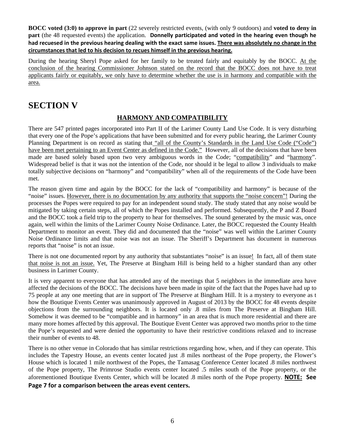**BOCC voted (3:0) to approve in part** (22 severely restricted events, (with only 9 outdoors) and **voted to deny in part** (the 48 requested events) the application. **Donnelly participated and voted in the hearing even though he** had recuesed in the previous hearing dealing with the exact same issues. There was absolutely no change in the **circumstances that led to his decision to recues himself in the previous hearing.**

During the hearing Sheryl Pope asked for her family to be treated fairly and equitably by the BOCC. At the conclusion of the hearing Commissioner Johnson stated on the record that the BOCC does not have to treat applicants fairly or equitably, we only have to determine whether the use is in harmony and compatible with the area.

# **SECTION V**

# **HARMONY AND COMPATIBILITY**

There are 547 printed pages incorporated into Part II of the Larimer County Land Use Code. It is very disturbing that every one of the Pope's applications that have been submitted and for every public hearing, the Larimer County Planning Department is on record as stating that "all of the County's Standards in the Land Use Code ("Code") have been met pertaining to an Event Center as defined in the Code." However, all of the decisions that have been made are based solely based upon two very ambiguous words in the Code; "compatibility" and "harmony". Widespread belief is that it was not the intention of the Code, nor should it be legal to allow 3 individuals to make totally subjective decisions on "harmony" and "compatibility" when all of the requirements of the Code have been met.

The reason given time and again by the BOCC for the lack of "compatibility and harmony" is because of the "noise" issues. However, there is no documentation by any authority that supports the "noise concern"! During the processes the Popes were required to pay for an independent sound study. The study stated that any noise would be mitigated by taking certain steps, all of which the Popes installed and performed. Subsequently, the P and Z Board and the BOCC took a field trip to the property to hear for themselves. The sound generated by the music was, once again, well within the limits of the Larimer County Noise Ordinance. Later, the BOCC requested the County Health Department to monitor an event. They did and documented that the "noise" was well within the Larimer County Noise Ordinance limits and that noise was not an issue. The Sheriff's Department has document in numerous reports that "noise" is not an issue.

There is not one documented report by any authority that substantiates "noise" is an issue! In fact, all of them state that noise is not an issue. Yet, The Preserve at Bingham Hill is being held to a higher standard than any other business in Larimer County.

It is very apparent to everyone that has attended any of the meetings that 5 neighbors in the immediate area have affected the decisions of the BOCC. The decisions have been made in spite of the fact that the Popes have had up to 75 people at any one meeting that are in support of The Preserve at Bingham Hill. It is a mystery to everyone as t how the Boutique Events Center was unanimously approved in August of 2013 by the BOCC for 48 events despite objections from the surrounding neighbors. It is located only .8 miles from The Preserve at Bingham Hill. Somehow it was deemed to be "compatible and in harmony" in an area that is much more residential and there are many more homes affected by this approval. The Boutique Event Center was approved two months prior to the time the Pope's requested and were denied the opportunity to have their restrictive conditions relaxed and to increase their number of events to 48.

There is no other venue in Colorado that has similar restrictions regarding how, when, and if they can operate. This includes the Tapestry House, an events center located just .8 miles northeast of the Pope property, the Flower's House which is located 1 mile northwest of the Popes, the Tamasag Conference Center located .8 miles northwest of the Pope property, The Primrose Studio events center located .5 miles south of the Pope property, or the aforementioned Boutique Events Center, which will be located .8 miles north of the Pope property. **NOTE: See**

**Page 7 for a comparison between the areas event centers.**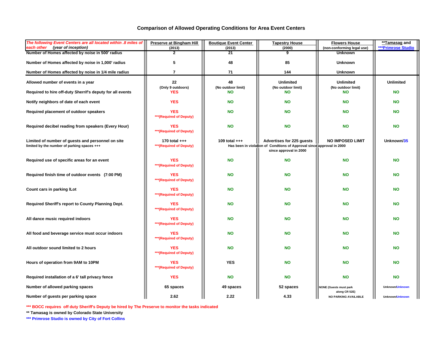#### **Comparison of Allowed Operating Conditions for Area Event Centers**

| The following Event Centers are all located within .8 miles of<br>each other (year of inception) | <b>Preserve at Bingham Hill</b><br>(2013)  | <b>Boutique Event Center</b><br>(2013) | <b>Tapestry House</b><br>(2000)                                                                                              | <b>Flowers House</b><br>(non-conforming legal use) | **Tamasag and<br><b>***Primrose Studio</b> |
|--------------------------------------------------------------------------------------------------|--------------------------------------------|----------------------------------------|------------------------------------------------------------------------------------------------------------------------------|----------------------------------------------------|--------------------------------------------|
| Number of Homes affected by noise in 500' radius                                                 | $\overline{2}$                             | 21                                     | 9                                                                                                                            | <b>Unknown</b>                                     |                                            |
| Number of Homes affected by noise in 1,000' radius                                               | 5                                          | 48                                     | 85                                                                                                                           | <b>Unknown</b>                                     |                                            |
| Number of Homes affected by noise in 1/4 mile radius                                             | $\overline{7}$                             | 71                                     | 144                                                                                                                          | <b>Unknown</b>                                     |                                            |
| Allowed number of events in a year                                                               | 22<br>(Only 9 outdoors)                    | 48<br>(No outdoor limit)               | <b>Unlimited</b><br>(No outdoor limit)                                                                                       | <b>Unlimited</b><br>(No outdoor limit)             | <b>Unlimited</b>                           |
| Required to hire off-duty Sherrif's deputy for all events                                        | YES                                        | <b>NO</b>                              | <b>NO</b>                                                                                                                    | <b>NO</b>                                          | <b>NO</b>                                  |
| Notify neighbors of date of each event                                                           | <b>YES</b>                                 | <b>NO</b>                              | <b>NO</b>                                                                                                                    | <b>NO</b>                                          | <b>NO</b>                                  |
| Required placement of outdoor speakers                                                           | <b>YES</b><br>*** (Required of Deputy)     | <b>NO</b>                              | <b>NO</b>                                                                                                                    | <b>NO</b>                                          | <b>NO</b>                                  |
| Required decibel reading from speakers (Every Hour)                                              | <b>YES</b><br>*** (Required of Deputy)     | <b>NO</b>                              | <b>NO</b>                                                                                                                    | <b>NO</b>                                          | <b>NO</b>                                  |
| Limited of number of guests and personnel on site<br>limited by the number of parking spaces +++ | 170 total $++$<br>*** (Required of Deputy) | 109 total $++$                         | Advertises for 225 guests<br>Has been in violation of Condtions of Approval since approval in 2000<br>since approval in 2000 | <b>NO IMPOSED LIMIT</b>                            | Unknown/35                                 |
| Required use of specific areas for an event                                                      | <b>YES</b><br>*** (Required of Deputy)     | <b>NO</b>                              | <b>NO</b>                                                                                                                    | <b>NO</b>                                          | <b>NO</b>                                  |
| Required finish time of outdoor events (7:00 PM)                                                 | <b>YES</b><br>*** (Required of Deputy)     | <b>NO</b>                              | <b>NO</b>                                                                                                                    | <b>NO</b>                                          | <b>NO</b>                                  |
| Count cars in parking ILot                                                                       | <b>YES</b><br>*** (Required of Deputy)     | <b>NO</b>                              | <b>NO</b>                                                                                                                    | <b>NO</b>                                          | <b>NO</b>                                  |
| Required Sheriff's report to County Planning Dept.                                               | YES<br>*** (Required of Deputy)            | <b>NO</b>                              | <b>NO</b>                                                                                                                    | <b>NO</b>                                          | <b>NO</b>                                  |
| All dance music required indoors                                                                 | YES<br>*** (Required of Deputy)            | <b>NO</b>                              | <b>NO</b>                                                                                                                    | <b>NO</b>                                          | <b>NO</b>                                  |
| All food and beverage service must occur indoors                                                 | YES<br>*** (Required of Deputy)            | <b>NO</b>                              | <b>NO</b>                                                                                                                    | <b>NO</b>                                          | <b>NO</b>                                  |
| All outdoor sound limited to 2 hours                                                             | YES<br>*** (Required of Deputy)            | <b>NO</b>                              | <b>NO</b>                                                                                                                    | <b>NO</b>                                          | <b>NO</b>                                  |
| Hours of operation from 9AM to 10PM                                                              | YES<br>*** (Required of Deputy)            | <b>YES</b>                             | <b>NO</b>                                                                                                                    | <b>NO</b>                                          | <b>NO</b>                                  |
| Required installation of a 6' tall privacy fence                                                 | <b>YES</b>                                 | <b>NO</b>                              | <b>NO</b>                                                                                                                    | <b>NO</b>                                          | <b>NO</b>                                  |
| Number of allowed parking spaces                                                                 | 65 spaces                                  | 49 spaces                              | 52 spaces                                                                                                                    | <b>NONE (Guests must park</b><br>along CR 52E)     | Unknown/Unknown                            |
| Number of guests per parking space                                                               | 2.62                                       | 2.22                                   | 4.33                                                                                                                         | <b>NO PARKING AVAILABLE</b>                        | Unknown/Unknown                            |

**\*\*\* BOCC requires off duty Sheriff's Deputy be hired by The Preserve to monitor the tasks indicated**

**\*\* Tamasag is owned by Colorado State University**

**\*\*\* Primrose Studio is owned by City of Fort Collins**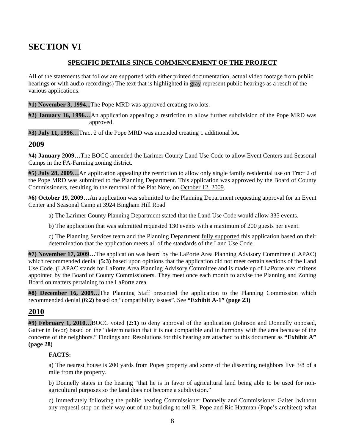# **SECTION VI**

## **SPECIFIC DETAILS SINCE COMMENCEMENT OF THE PROJECT**

All of the statements that follow are supported with either printed documentation, actual video footage from public hearings or with audio recordings) The text that is highlighted in gray represent public hearings as a result of the various applications.

**#1) November 3, 1994...**The Pope MRD was approved creating two lots.

**#2) January 16, 1996…**An application appealing a restriction to allow further subdivision of the Pope MRD was approved.

**#3) July 11, 1996…**Tract 2 of the Pope MRD was amended creating 1 additional lot.

## **2009**

**#4) January 2009…**The BOCC amended the Larimer County Land Use Code to allow Event Centers and Seasonal Camps in the FA-Farming zoning district.

**#5) July 28, 2009…**An application appealing the restriction to allow only single family residential use on Tract 2 of the Pope MRD was submitted to the Planning Department. This application was approved by the Board of County Commissioners, resulting in the removal of the Plat Note, on October 12, 2009.

**#6) October 19, 2009…**An application was submitted to the Planning Department requesting approval for an Event Center and Seasonal Camp at 3924 Bingham Hill Road

a) The Larimer County Planning Department stated that the Land Use Code would allow 335 events.

b) The application that was submitted requested 130 events with a maximum of 200 guests per event.

c) The Planning Services team and the Planning Department fully supported this application based on their determination that the application meets all of the standards of the Land Use Code.

**#7) November 17, 2009…**The application was heard by the LaPorte Area Planning Advisory Committee (LAPAC) which recommended denial **(5:3)** based upon opinions that the application did not meet certain sections of the Land Use Code. (LAPAC stands for LaPorte Area Planning Advisory Committee and is made up of LaPorte area citizens appointed by the Board of County Commissioners. They meet once each month to advise the Planning and Zoning Board on matters pertaining to the LaPorte area.

**#8) December 16, 2009…**The Planning Staff presented the application to the Planning Commission which recommended denial **(6:2)** based on "compatibility issues". See **"Exhibit A-1" (page 23)**

# **2010**

**#9) February 1, 2010…**BOCC voted **(2:1)** to deny approval of the application (Johnson and Donnelly opposed, Gaiter in favor) based on the "determination that it is not compatible and in harmony with the area because of the concerns of the neighbors." Findings and Resolutions for this hearing are attached to this document as **"Exhibit A" (page 28)** 

### **FACTS:**

a) The nearest house is 200 yards from Popes property and some of the dissenting neighbors live 3/8 of a mile from the property.

b) Donnelly states in the hearing "that he is in favor of agricultural land being able to be used for nonagricultural purposes so the land does not become a subdivision."

c) Immediately following the public hearing Commissioner Donnelly and Commissioner Gaiter [without any request] stop on their way out of the building to tell R. Pope and Ric Hattman (Pope's architect) what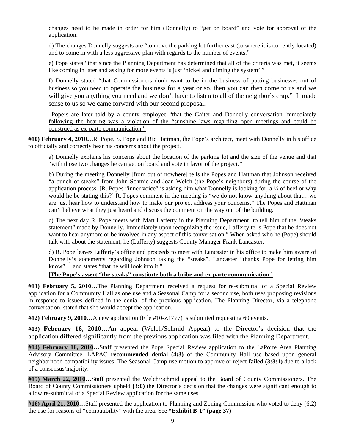changes need to be made in order for him (Donnelly) to "get on board" and vote for approval of the application.

d) The changes Donnelly suggests are "to move the parking lot further east (to where it is currently located) and to come in with a less aggressive plan with regards to the number of events."

e) Pope states "that since the Planning Department has determined that all of the criteria was met, it seems like coming in later and asking for more events is just 'nickel and diming the system'."

 f) Donnelly stated "that Commissioners don't want to be in the business of putting businesses out of business so you need to operate the business for a year or so, then you can then come to us and we will give you anything you need and we don't have to listen to all of the neighbor's crap." It made sense to us so we came forward with our second proposal.

Pope's are later told by a county employee "that the Gaiter and Donnelly conversation immediately following the hearing was a violation of the "sunshine laws regarding open meetings and could be construed as ex-parte communication".

**#10) February 4, 2010…**R. Pope, S. Pope and Ric Hattman, the Pope's architect, meet with Donnelly in his office to officially and correctly hear his concerns about the project.

a) Donnelly explains his concerns about the location of the parking lot and the size of the venue and that "with those two changes he can get on board and vote in favor of the project."

b) During the meeting Donnelly [from out of nowhere] tells the Popes and Hattman that Johnson received "a bunch of steaks" from John Schmid and Joan Welch (the Pope's neighbors) during the course of the application process. [R. Popes "inner voice" is asking him what Donnelly is looking for, a ½ of beef or why would he be stating this?] R. Popes comment in the meeting is "we do not know anything about that...we are just hear how to understand how to make our project address your concerns." The Popes and Hattman can't believe what they just heard and discuss the comment on the way out of the building.

c) The next day R. Pope meets with Matt Lafferty in the Planning Department to tell him of the "steaks statement" made by Donnelly. Immediately upon recognizing the issue, Lafferty tells Pope that he does not want to hear anymore or be involved in any aspect of this conversation." When asked who he (Pope) should talk with about the statement, he (Lafferty) suggests County Manager Frank Lancaster.

d) R. Pope leaves Lafferty's office and proceeds to meet with Lancaster in his office to make him aware of Donnelly's statements regarding Johnson taking the "steaks". Lancaster "thanks Pope for letting him know"….and states "that he will look into it."

### **[The Pope's assert "the steaks" constitute both a bribe and ex parte communication.]**

**#11) February 5, 2010…**The Planning Department received a request for re-submittal of a Special Review application for a Community Hall as one use and a Seasonal Camp for a second use, both uses proposing revisions in response to issues defined in the denial of the previous application. The Planning Director, via a telephone conversation, stated that she would accept the application.

**#12) February 9, 2010…**A new application (File #10-Z1777) is submitted requesting 60 events.

**#13) February 16, 2010…**An appeal (Welch/Schmid Appeal) to the Director's decision that the application differed significantly from the previous application was filed with the Planning Department.

**#14) February 16, 2010…**Staff presented the Pope Special Review application to the LaPorte Area Planning Advisory Committee. LAPAC **recommended denial (4:3)** of the Community Hall use based upon general neighborhood compatibility issues. The Seasonal Camp use motion to approve or reject **failed (3:3:1)** due to a lack of a consensus/majority.

**#15) March 22, 2010…**Staff presented the Welch/Schmid appeal to the Board of County Commissioners. The Board of County Commissioners upheld **(3:0)** the Director's decision that the changes were significant enough to allow re-submittal of a Special Review application for the same uses.

**#16) April 21, 2010…**Staff presented the application to Planning and Zoning Commission who voted to deny (6:2) the use for reasons of "compatibility" with the area. See **"Exhibit B-1" (page 37)**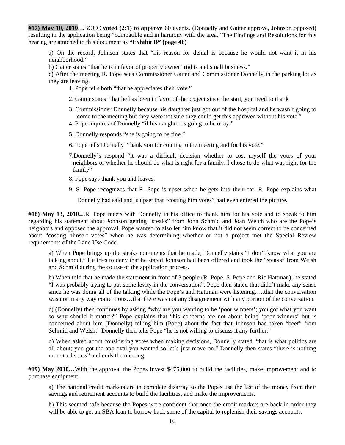**#17) May 10, 2010…**BOCC **voted (2:1) to approve** 60 events. (Donnelly and Gaiter approve, Johnson opposed) resulting in the application being "compatible and in harmony with the area." The Findings and Resolutions for this hearing are attached to this document as **"Exhibit B" (page 46)**

a) On the record, Johnson states that "his reason for denial is because he would not want it in his neighborhood."

b) Gaiter states "that he is in favor of property owner' rights and small business."

c) After the meeting R. Pope sees Commissioner Gaiter and Commissioner Donnelly in the parking lot as they are leaving.

1. Pope tells both "that he appreciates their vote."

- 2. Gaiter states "that he has been in favor of the project since the start; you need to thank
- 3. Commissioner Donnelly because his daughter just got out of the hospital and he wasn't going to come to the meeting but they were not sure they could get this approved without his vote."
- 4. Pope inquires of Donnelly "if his daughter is going to be okay."
- 5. Donnelly responds "she is going to be fine."
- 6. Pope tells Donnelly "thank you for coming to the meeting and for his vote."
- 7.Donnelly's respond "it was a difficult decision whether to cost myself the votes of your neighbors or whether he should do what is right for a family. I chose to do what was right for the family"
- 8. Pope says thank you and leaves.
- 9. S. Pope recognizes that R. Pope is upset when he gets into their car. R. Pope explains what

Donnelly had said and is upset that "costing him votes" had even entered the picture.

**#18) May 13, 2010…**R. Pope meets with Donnelly in his office to thank him for his vote and to speak to him regarding his statement about Johnson getting "steaks" from John Schmid and Joan Welch who are the Pope's neighbors and opposed the approval. Pope wanted to also let him know that it did not seem correct to be concerned about "costing himself votes" when he was determining whether or not a project met the Special Review requirements of the Land Use Code.

a) When Pope brings up the steaks comments that he made, Donnelly states "I don't know what you are talking about." He tries to deny that he stated Johnson had been offered and took the "steaks" from Welsh and Schmid during the course of the application process.

b) When told that he made the statement in front of 3 people (R. Pope, S. Pope and Ric Hattman), he stated "I was probably trying to put some levity in the conversation". Pope then stated that didn't make any sense since he was doing all of the talking while the Pope's and Hattman were listening…..that the conversation was not in any way contentious…that there was not any disagreement with any portion of the conversation.

c) (Donnelly) then continues by asking "why are you wanting to be 'poor winners'; you got what you want so why should it matter?" Pope explains that "his concerns are not about being 'poor winners' but is concerned about him (Donnelly) telling him (Pope) about the fact that Johnson had taken "beef" from Schmid and Welsh." Donnelly then tells Pope "he is not willing to discuss it any further."

d) When asked about considering votes when making decisions, Donnelly stated "that is what politics are all about; you got the approval you wanted so let's just move on." Donnelly then states "there is nothing more to discuss" and ends the meeting.

**#19) May 2010…**With the approval the Popes invest \$475,000 to build the facilities, make improvement and to purchase equipment.

 a) The national credit markets are in complete disarray so the Popes use the last of the money from their savings and retirement accounts to build the facilities, and make the improvements.

 b) This seemed safe because the Popes were confident that once the credit markets are back in order they will be able to get an SBA loan to borrow back some of the capital to replenish their savings accounts.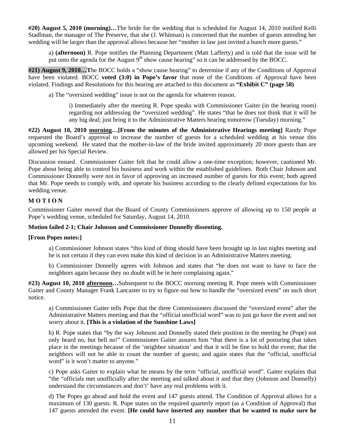**#20) August 5, 2010 (morning)…**The bride for the wedding that is scheduled for August 14, 2010 notified Kelli Stadlman, the manager of The Preserve, that she (J. Whitman) is concerned that the number of guests attending her wedding will be larger than the approval allows because her "mother in law just invited a bunch more guests."

a) **(afternoon)** R. Pope notifies the Planning Department (Matt Lafferty) and is told that the issue will be put onto the agenda for the August  $9<sup>th</sup>$  show cause hearing" so it can be addressed by the BOCC.

**#21) August 9, 2010…T**he BOCC holds a "show cause hearing" to determine if any of the Conditions of Approval have been violated. BOCC **voted (3:0) in Pope's favor** that none of the Conditions of Approval have been violated. Findings and Resolutions for this hearing are attached to this document as **"Exhibit C" (page 58)**

a) The "oversized wedding" issue is not on the agenda for whatever reason.

 i) Immediately after the meeting R. Pope speaks with Commissioner Gaiter (in the hearing room) regarding not addressing the "oversized wedding". He states "that he does not think that it will be any big deal; just bring it to the Administrative Matters hearing tomorrow (Tuesday) morning."

**#22) August 10, 2010 morning…[From the minutes of the Administrative Hearings meeting]** Randy Pope requested the Board's approval to increase the number of guests for a scheduled wedding at his venue this upcoming weekend. He stated that the mother-in-law of the bride invited approximately 20 more guests than are allowed per his Special Review.

Discussion ensued. Commissioner Gaiter felt that he could allow a one-time exception; however, cautioned Mr. Pope about being able to control his business and work within the established guidelines. Both Chair Johnson and Commissioner Donnelly were not in favor of approving an increased number of guests for this event; both agreed that Mr. Pope needs to comply with, and operate his business according to the clearly defined expectations for his wedding venue.

### **M O T I O N**

Commissioner Gaiter moved that the Board of County Commissioners approve of allowing up to 150 people at Pope's wedding venue, scheduled for Saturday, August 14, 2010.

### **Motion failed 2-1; Chair Johnson and Commissioner Donnelly dissenting.**

### **[From Popes notes:]**

 a) Commissioner Johnson states "this kind of thing should have been brought up in last nights meeting and he is not certain if they can even make this kind of decision in an Administrative Matters meeting.

 b) Commissioner Donnelly agrees with Johnson and states that "he does not want to have to face the neighbors again because they no doubt will be in here complaining again."

**#23) August 10, 2010 afternoon…**Subsequent to the BOCC morning meeting R. Pope meets with Commissioner Gaiter and County Manager Frank Lancaster to try to figure out how to handle the "oversized event" on such short notice.

a) Commissioner Gaiter tells Pope that the three Commissioners discussed the "oversized event" after the Administrative Matters meeting and that the "official unofficial word" was to just go have the event and not worry about it. **[This is a violation of the Sunshine Laws]** 

b) R. Pope states that "by the way Johnson and Donnelly stated their position in the meeting he (Pope) not only heard no, but hell no!" Commissioner Gaiter assures him "that there is a lot of posturing that takes place in the meetings because of the 'neighbor situation' and that it will be fine to hold the event; that the neighbors will not be able to count the number of guests; and again states that the "official, unofficial word" is it won't matter to anyone."

c) Pope asks Gaiter to explain what he means by the term "official, unofficial word". Gaiter explains that "the "officials met unofficially after the meeting and talked about it and that they (Johnson and Donnelly) understand the circumstances and don't' have any real problems with it.

d) The Popes go ahead and hold the event and 147 guests attend. The Condition of Approval allows for a maximum of 130 guests. R. Pope states on the required quarterly report (as a Condition of Approval) that 147 guests attended the event. **[He could have inserted any number that he wanted to make sure he**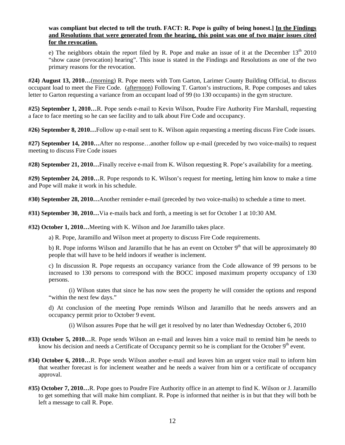### **was compliant but elected to tell the truth. FACT: R. Pope is guilty of being honest.] In the Findings and Resolutions that were generated from the hearing, this point was one of two major issues cited for the revocation.**

e) The neighbors obtain the report filed by R. Pope and make an issue of it at the December  $13<sup>th</sup> 2010$ "show cause (revocation) hearing". This issue is stated in the Findings and Resolutions as one of the two primary reasons for the revocation.

**#24) August 13, 2010…**(morning) R. Pope meets with Tom Garton, Larimer County Building Official, to discuss occupant load to meet the Fire Code. (afternoon) Following T. Garton's instructions, R. Pope composes and takes letter to Garton requesting a variance from an occupant load of 99 (to 130 occupants) in the gym structure.

**#25) September 1, 2010…**R. Pope sends e-mail to Kevin Wilson, Poudre Fire Authority Fire Marshall, requesting a face to face meeting so he can see facility and to talk about Fire Code and occupancy.

**#26) September 8, 2010…**Follow up e-mail sent to K. Wilson again requesting a meeting discuss Fire Code issues.

**#27) September 14, 2010…**After no response…another follow up e-mail (preceded by two voice-mails) to request meeting to discuss Fire Code issues

**#28) September 21, 2010…**Finally receive e-mail from K. Wilson requesting R. Pope's availability for a meeting.

**#29) September 24, 2010…**R. Pope responds to K. Wilson's request for meeting, letting him know to make a time and Pope will make it work in his schedule.

**#30) September 28, 2010…**Another reminder e-mail (preceded by two voice-mails) to schedule a time to meet.

**#31) September 30, 2010…**Via e-mails back and forth, a meeting is set for October 1 at 10:30 AM.

**#32) October 1, 2010…**Meeting with K. Wilson and Joe Jaramillo takes place.

a) R. Pope, Jaramillo and Wilson meet at property to discuss Fire Code requirements.

b) R. Pope informs Wilson and Jaramillo that he has an event on October  $9<sup>th</sup>$  that will be approximately 80 people that will have to be held indoors if weather is inclement.

 c) In discussion R. Pope requests an occupancy variance from the Code allowance of 99 persons to be increased to 130 persons to correspond with the BOCC imposed maximum property occupancy of 130 persons.

 (i) Wilson states that since he has now seen the property he will consider the options and respond "within the next few days."

 d) At conclusion of the meeting Pope reminds Wilson and Jaramillo that he needs answers and an occupancy permit prior to October 9 event.

(i) Wilson assures Pope that he will get it resolved by no later than Wednesday October 6, 2010

**#33) October 5, 2010…**R. Pope sends Wilson an e-mail and leaves him a voice mail to remind him he needs to know his decision and needs a Certificate of Occupancy permit so he is compliant for the October 9<sup>th</sup> event.

- **#34) October 6, 2010…**R. Pope sends Wilson another e-mail and leaves him an urgent voice mail to inform him that weather forecast is for inclement weather and he needs a waiver from him or a certificate of occupancy approval.
- **#35) October 7, 2010…**R. Pope goes to Poudre Fire Authority office in an attempt to find K. Wilson or J. Jaramillo to get something that will make him compliant. R. Pope is informed that neither is in but that they will both be left a message to call R. Pope.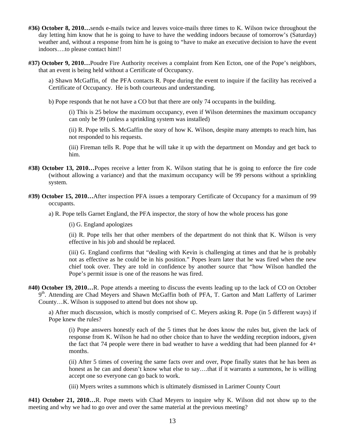- **#36) October 8, 2010…**sends e-mails twice and leaves voice-mails three times to K. Wilson twice throughout the day letting him know that he is going to have to have the wedding indoors because of tomorrow's (Saturday) weather and, without a response from him he is going to "have to make an executive decision to have the event indoors….to please contact him!!
- **#37) October 9, 2010…**Poudre Fire Authority receives a complaint from Ken Ecton, one of the Pope's neighbors, that an event is being held without a Certificate of Occupancy.

 a) Shawn McGaffin, of the PFA contacts R. Pope during the event to inquire if the facility has received a Certificate of Occupancy. He is both courteous and understanding.

b) Pope responds that he not have a CO but that there are only 74 occupants in the building.

(i) This is 25 below the maximum occupancy, even if Wilson determines the maximum occupancy can only be 99 (unless a sprinkling system was installed)

 (ii) R. Pope tells S. McGaffin the story of how K. Wilson, despite many attempts to reach him, has not responded to his requests.

(iii) Fireman tells R. Pope that he will take it up with the department on Monday and get back to him.

- **#38) October 13, 2010…**Popes receive a letter from K. Wilson stating that he is going to enforce the fire code (without allowing a variance) and that the maximum occupancy will be 99 persons without a sprinkling system.
- **#39) October 15, 2010…**After inspection PFA issues a temporary Certificate of Occupancy for a maximum of 99 occupants.

a) R. Pope tells Garnet England, the PFA inspector, the story of how the whole process has gone

(i) G. England apologizes

(ii) R. Pope tells her that other members of the department do not think that K. Wilson is very effective in his job and should be replaced.

(iii) G. England confirms that "dealing with Kevin is challenging at times and that he is probably not as effective as he could be in his position." Popes learn later that he was fired when the new chief took over. They are told in confidence by another source that "how Wilson handled the Pope's permit issue is one of the reasons he was fired.

**#40) October 19, 2010…**R. Pope attends a meeting to discuss the events leading up to the lack of CO on October 9<sup>th</sup>. Attending are Chad Meyers and Shawn McGaffin both of PFA, T. Garton and Matt Lafferty of Larimer County…K. Wilson is supposed to attend but does not show up.

 a) After much discussion, which is mostly comprised of C. Meyers asking R. Pope (in 5 different ways) if Pope knew the rules?

 (i) Pope answers honestly each of the 5 times that he does know the rules but, given the lack of response from K. Wilson he had no other choice than to have the wedding reception indoors, given the fact that 74 people were there in bad weather to have a wedding that had been planned for  $4+$ months.

(ii) After 5 times of covering the same facts over and over, Pope finally states that he has been as honest as he can and doesn't know what else to say....that if it warrants a summons, he is willing accept one so everyone can go back to work.

(iii) Myers writes a summons which is ultimately dismissed in Larimer County Court

**#41) October 21, 2010…**R. Pope meets with Chad Meyers to inquire why K. Wilson did not show up to the meeting and why we had to go over and over the same material at the previous meeting?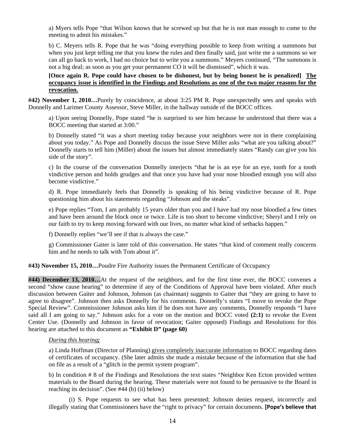a) Myers tells Pope "that Wilson knows that he screwed up but that he is not man enough to come to the meeting to admit his mistakes."

 b) C. Meyers tells R. Pope that he was "doing everything possible to keep from writing a summons but when you just kept telling me that you knew the rules and then finally said, just write me a summons so we can all go back to work, I had no choice but to write you a summons." Meyers continued, "The summons is not a big deal; as soon as you get your permanent CO it will be dismissed", which it was.

 **[Once again R. Pope could have chosen to be dishonest, but by being honest he is penalized] The occupancy issue is identified in the Findings and Resolutions as one of the two major reasons for the revocation.** 

**#42) November 1, 2010…**Purely by coincidence, at about 3:25 PM R. Pope unexpectedly sees and speaks with Donnelly and Larimer County Assessor, Steve Miller, in the hallway outside of the BOCC offices.

a) Upon seeing Donnelly, Pope stated "he is surprised to see him because he understood that there was a BOCC meeting that started at 3:00."

b) Donnelly stated "it was a short meeting today because your neighbors were not in there complaining about you today." As Pope and Donnelly discuss the issue Steve Miller asks "what are you talking about?" Donnelly starts to tell him (Miller) about the issues but almost immediately states "Randy can give you his side of the story".

c) In the course of the conversation Donnelly interjects "that he is an eye for an eye, tooth for a tooth vindictive person and holds grudges and that once you have had your nose bloodied enough you will also become vindictive."

d) R. Pope immediately feels that Donnelly is speaking of his being vindictive because of R. Pope questioning him about his statements regarding "Johnson and the steaks".

e) Pope replies "Tom, I am probably 15 years older than you and I have had my nose bloodied a few times and have been around the block once or twice. Life is too short to become vindictive; Sheryl and I rely on our faith to try to keep moving forward with our lives, no matter what kind of setbacks happen."

f) Donnelly replies "we'll see if that is always the case."

g) Commissioner Gaiter is later told of this conversation. He states "that kind of comment really concerns him and he needs to talk with Tom about it".

**#43) November 15, 2010…**Poudre Fire Authority issues the Permanent Certificate of Occupancy

**#44) December 13, 2010…**At the request of the neighbors, and for the first time ever, the BOCC convenes a second "show cause hearing" to determine if any of the Conditions of Approval have been violated. After much discussion between Gaiter and Johnson, Johnson (as chairman) suggests to Gaiter that "they are going to have to agree to disagree". Johnson then asks Donnelly for his comments. Donnelly's states "I move to revoke the Pope Special Review". Commissioner Johnson asks him if he does not have any comments, Donnelly responds "I have said all I am going to say." Johnson asks for a vote on the motion and BOCC voted **(2:1)** to revoke the Event Center Use. (Donnelly and Johnson in favor of revocation; Gaiter opposed) Findings and Resolutions for this hearing are attached to this document as **"Exhibit D" (page 60)**

#### *During this hearing;*

a) Linda Hoffman (Director of Planning) gives completely inaccurate information to BOCC regarding dates of certificates of occupancy. (She later admits she made a mistake because of the information that she had on file as a result of a "glitch in the permit system program".

b) In condition # 8 of the Findings and Resolutions the text states "Neighbor Ken Ecton provided written materials to the Board during the hearing. These materials were not found to be persuasive to the Board in reaching its decision". (See #44 (b) (ii) below)

 (i) S. Pope requests to see what has been presented; Johnson denies request, incorrectly and illegally stating that Commissioners have the "right to privacy" for certain documents. **[Pope's believe that**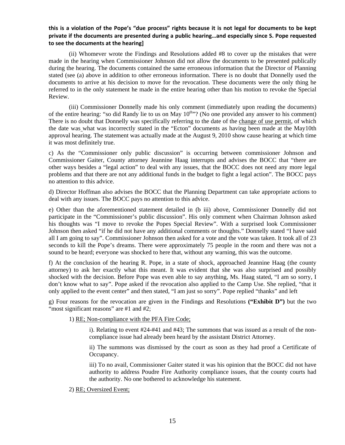### this is a violation of the Pope's "due process" rights because it is not legal for documents to be kept **private if the documents are presented during a public hearing…and especially since S. Pope requested to see the documents at the hearing]**

(ii) Whomever wrote the Findings and Resolutions added #8 to cover up the mistakes that were made in the hearing when Commissioner Johnson did not allow the documents to be presented publically during the hearing. The documents contained the same erroneous information that the Director of Planning stated (see (a) above in addition to other erroneous information. There is no doubt that Donnelly used the documents to arrive at his decision to move for the revocation. These documents were the only thing he referred to in the only statement he made in the entire hearing other than his motion to revoke the Special Review.

 (iii) Commissioner Donnelly made his only comment (immediately upon reading the documents) of the entire hearing: "so did Randy lie to us on May  $10^{\text{th}}$ "? (No one provided any answer to his comment) There is no doubt that Donnelly was specifically referring to the date of the change of use permit, of which the date was what was incorrectly stated in the "Ecton" documents as having been made at the May10th approval hearing. The statement was actually made at the August 9, 2010 show cause hearing at which time it was most definitely true.

c) As the "Commissioner only public discussion" is occurring between commissioner Johnson and Commissioner Gaiter, County attorney Jeannine Haag interrupts and advises the BOCC that "there are other ways besides a "legal action" to deal with any issues, that the BOCC does not need any more legal problems and that there are not any additional funds in the budget to fight a legal action". The BOCC pays no attention to this advice.

d) Director Hoffman also advises the BOCC that the Planning Department can take appropriate actions to deal with any issues. The BOCC pays no attention to this advice.

 e) Other than the aforementioned statement detailed in (b iii) above, Commissioner Donnelly did not participate in the "Commissioner's public discussion". His only comment when Chairman Johnson asked his thoughts was "I move to revoke the Popes Special Review". With a surprised look Commissioner Johnson then asked "if he did not have any additional comments or thoughts." Donnelly stated "I have said all I am going to say". Commissioner Johnson then asked for a vote and the vote was taken. It took all of 23 seconds to kill the Pope's dreams. There were approximately 75 people in the room and there was not a sound to be heard; everyone was shocked to here that, without any warning, this was the outcome.

 f) At the conclusion of the hearing R. Pope, in a state of shock, approached Jeannine Haag (the county attorney) to ask her exactly what this meant. It was evident that she was also surprised and possibly shocked with the decision. Before Pope was even able to say anything, Ms. Haag stated, "I am so sorry, I don't know what to say". Pope asked if the revocation also applied to the Camp Use. She replied, "that it only applied to the event center" and then stated, "I am just so sorry". Pope replied "thanks" and left

g) Four reasons for the revocation are given in the Findings and Resolutions **("Exhibit D")** but the two "most significant reasons" are #1 and #2;

#### 1) RE; Non-compliance with the PFA Fire Code;

i). Relating to event #24-#41 and #43; The summons that was issued as a result of the noncompliance issue had already been heard by the assistant District Attorney.

ii) The summons was dismissed by the court as soon as they had proof a Certificate of Occupancy.

iii) To no avail, Commissioner Gaiter stated it was his opinion that the BOCC did not have authority to address Poudre Fire Authority compliance issues, that the county courts had the authority. No one bothered to acknowledge his statement.

### 2) RE; Oversized Event;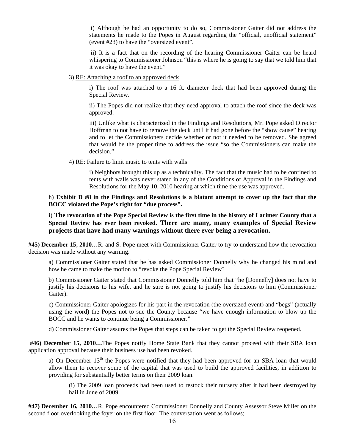i) Although he had an opportunity to do so, Commissioner Gaiter did not address the statements he made to the Popes in August regarding the "official, unofficial statement" (event #23) to have the "oversized event".

 ii) It is a fact that on the recording of the hearing Commissioner Gaiter can be heard whispering to Commissioner Johnson "this is where he is going to say that we told him that it was okay to have the event."

3) RE: Attaching a roof to an approved deck

 i) The roof was attached to a 16 ft. diameter deck that had been approved during the Special Review.

 ii) The Popes did not realize that they need approval to attach the roof since the deck was approved.

 iii) Unlike what is characterized in the Findings and Resolutions, Mr. Pope asked Director Hoffman to not have to remove the deck until it had gone before the "show cause" hearing and to let the Commissioners decide whether or not it needed to be removed. She agreed that would be the proper time to address the issue "so the Commissioners can make the decision."

4) RE: Failure to limit music to tents with walls

 i) Neighbors brought this up as a technicality. The fact that the music had to be confined to tents with walls was never stated in any of the Conditions of Approval in the Findings and Resolutions for the May 10, 2010 hearing at which time the use was approved.

#### h) **Exhibit D #8 in the Findings and Resolutions is a blatant attempt to cover up the fact that the BOCC violated the Pope's right for "due process".**

i) **The revocation of the Pope Special Review is the first time in the history of Larimer County that a Special Review has ever been revoked. There are many, many examples of Special Review projects that have had many warnings without there ever being a revocation.** 

**#45) December 15, 2010…**R. and S. Pope meet with Commissioner Gaiter to try to understand how the revocation decision was made without any warning.

a) Commissioner Gaiter stated that he has asked Commissioner Donnelly why he changed his mind and how he came to make the motion to "revoke the Pope Special Review?

b) Commissioner Gaiter stated that Commissioner Donnelly told him that "he [Donnelly] does not have to justify his decisions to his wife, and he sure is not going to justify his decisions to him (Commissioner Gaiter).

c) Commissioner Gaiter apologizes for his part in the revocation (the oversized event) and "begs" (actually using the word) the Popes not to sue the County because "we have enough information to blow up the BOCC and he wants to continue being a Commissioner."

d) Commissioner Gaiter assures the Popes that steps can be taken to get the Special Review reopened.

 #**46) December 15, 2010…**The Popes notify Home State Bank that they cannot proceed with their SBA loan application approval because their business use had been revoked.

a) On December 13<sup>th</sup> the Popes were notified that they had been approved for an SBA loan that would allow them to recover some of the capital that was used to build the approved facilities, in addition to providing for substantially better terms on their 2009 loan.

(i) The 2009 loan proceeds had been used to restock their nursery after it had been destroyed by hail in June of 2009.

**#47) December 16, 2010…**R. Pope encountered Commissioner Donnelly and County Assessor Steve Miller on the second floor overlooking the foyer on the first floor. The conversation went as follows;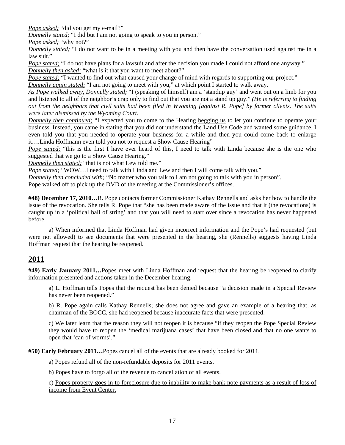*Pope asked*; "did you get my e-mail?"

*Donnelly stated;* "I did but I am not going to speak to you in person."

*Pope asked;* "why not?"

*Donnelly stated;* "I do not want to be in a meeting with you and then have the conversation used against me in a law suit."

*Pope stated;* "I do not have plans for a lawsuit and after the decision you made I could not afford one anyway." *Donnelly then asked;* "what is it that you want to meet about?"

*Pope stated;* "I wanted to find out what caused your change of mind with regards to supporting our project."

*Donnelly again stated;* "I am not going to meet with you," at which point I started to walk away.

*As Pope walked away, Donnelly stated;* "I (speaking of himself) am a 'standup guy' and went out on a limb for you and listened to all of the neighbor's crap only to find out that you are not a stand up guy." *(He is referring to finding out from the neighbors that civil suits had been filed in Wyoming [against R. Pope] by former clients. The suits were later dismissed by the Wyoming Court.* 

*Donnelly then continued;* "I expected you to come to the Hearing begging us to let you continue to operate your business. Instead, you came in stating that you did not understand the Land Use Code and wanted some guidance. I even told you that you needed to operate your business for a while and then you could come back to enlarge it….Linda Hoffmann even told you not to request a Show Cause Hearing"

*Pope stated;* "this is the first I have ever heard of this, I need to talk with Linda because she is the one who suggested that we go to a Show Cause Hearing."

*Donnelly then stated;* "that is not what Lew told me."

*Pope stated;* "WOW…I need to talk with Linda and Lew and then I will come talk with you."

*Donnelly then concluded with;* "No matter who you talk to I am not going to talk with you in person".

Pope walked off to pick up the DVD of the meeting at the Commissioner's offices.

**#48) December 17, 2010…**R. Pope contacts former Commissioner Kathay Rennells and asks her how to handle the issue of the revocation. She tells R. Pope that "she has been made aware of the issue and that it (the revocations) is caught up in a 'political ball of string' and that you will need to start over since a revocation has never happened before.

 a) When informed that Linda Hoffman had given incorrect information and the Pope's had requested (but were not allowed) to see documents that were presented in the hearing, she (Rennells) suggests having Linda Hoffman request that the hearing be reopened.

# **2011**

**#49) Early January 2011…**Popes meet with Linda Hoffman and request that the hearing be reopened to clarify information presented and actions taken in the December hearing.

a) L. Hoffman tells Popes that the request has been denied because "a decision made in a Special Review has never been reopened."

b) R. Pope again calls Kathay Rennells; she does not agree and gave an example of a hearing that, as chairman of the BOCC, she had reopened because inaccurate facts that were presented.

c) We later learn that the reason they will not reopen it is because "if they reopen the Pope Special Review they would have to reopen the 'medical marijuana cases' that have been closed and that no one wants to open that 'can of worms'."

**#50) Early February 2011…**Popes cancel all of the events that are already booked for 2011.

a) Popes refund all of the non-refundable deposits for 2011 events.

b) Popes have to forgo all of the revenue to cancellation of all events.

c) Popes property goes in to foreclosure due to inability to make bank note payments as a result of loss of income from Event Center.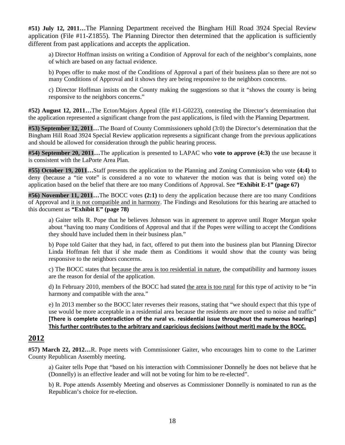**#51) July 12, 2011…**The Planning Department received the Bingham Hill Road 3924 Special Review application (File #11-Z1855). The Planning Director then determined that the application is sufficiently different from past applications and accepts the application.

a) Director Hoffman insists on writing a Condition of Approval for each of the neighbor's complaints, none of which are based on any factual evidence.

b) Popes offer to make most of the Conditions of Approval a part of their business plan so there are not so many Conditions of Approval and it shows they are being responsive to the neighbors concerns.

c) Director Hoffman insists on the County making the suggestions so that it "shows the county is being responsive to the neighbors concerns."

**#52) August 12, 2011…**The Ecton/Majors Appeal (file #11-G0223), contesting the Director's determination that the application represented a significant change from the past applications, is filed with the Planning Department.

**#53) September 12, 2011…**The Board of County Commissioners uphold (3:0) the Director's determination that the Bingham Hill Road 3924 Special Review application represents a significant change from the previous applications and should be allowed for consideration through the public hearing process.

**#54) September 20, 2011…**The application is presented to LAPAC who **vote to approve (4:3)** the use because it is consistent with the LaPorte Area Plan.

**#55) October 19, 2011…**Staff presents the application to the Planning and Zoning Commission who vote **(4:4)** to deny (because a "tie vote" is considered a no vote to whatever the motion was that is being voted on) the application based on the belief that there are too many Conditions of Approval. See **"Exhibit E-1" (page 67)** 

**#56) November 11, 2011…**The BOCC votes **(2:1)** to deny the application because there are too many Conditions of Approval and it is not compatible and in harmony. The Findings and Resolutions for this hearing are attached to this document as **"Exhibit E" (page 78)**

 a) Gaiter tells R. Pope that he believes Johnson was in agreement to approve until Roger Morgan spoke about "having too many Conditions of Approval and that if the Popes were willing to accept the Conditions they should have included them in their business plan."

b) Pope told Gaiter that they had, in fact, offered to put them into the business plan but Planning Director Linda Hoffman felt that if she made them as Conditions it would show that the county was being responsive to the neighbors concerns.

c) The BOCC states that because the area is too residential in nature, the compatibility and harmony issues are the reason for denial of the application.

d) In February 2010, members of the BOCC had stated the area is too rural for this type of activity to be "in harmony and compatible with the area."

e) In 2013 member so the BOCC later reverses their reasons, stating that "we should expect that this type of use would be more acceptable in a residential area because the residents are more used to noise and traffic" **[There is complete contradiction of the rural vs. residential issue throughout the numerous hearings] This further contributes to the arbitrary and capricious decisions (without merit) made by the BOCC.**

# **2012**

**#57) March 22, 2012…**R. Pope meets with Commissioner Gaiter, who encourages him to come to the Larimer County Republican Assembly meeting.

a) Gaiter tells Pope that "based on his interaction with Commissioner Donnelly he does not believe that he (Donnelly) is an effective leader and will not be voting for him to be re-elected".

b) R. Pope attends Assembly Meeting and observes as Commissioner Donnelly is nominated to run as the Republican's choice for re-election.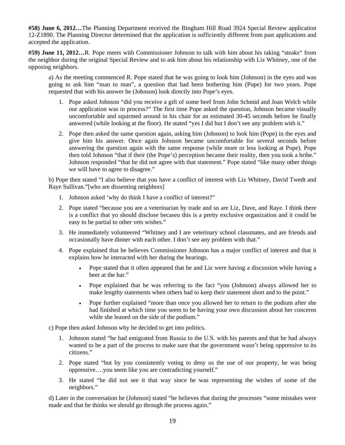**#58) June 6, 2012…**The Planning Department received the Bingham Hill Road 3924 Special Review application 12-Z1890. The Planning Director determined that the application is sufficiently different from past applications and accepted the application.

**#59) June 11, 2012…**R. Pope meets with Commissioner Johnson to talk with him about his taking "steaks" from the neighbor during the original Special Review and to ask him about his relationship with Liz Whitney, one of the opposing neighbors.

a) As the meeting commenced R. Pope stated that he was going to look him (Johnson) in the eyes and was going to ask him "man to man", a question that had been bothering him (Pope) for two years. Pope requested that with his answer he (Johnson) look directly into Pope's eyes.

- 1. Pope asked Johnson "did you receive a gift of some beef from John Schmid and Joan Welch while our application was in process?" The first time Pope asked the question, Johnson became visually uncomfortable and squirmed around in his chair for an estimated 30-45 seconds before he finally answered (while looking at the floor). He stated "yes I did but I don't see any problem with it."
- 2. Pope then asked the same question again, asking him (Johnson) to look him (Pope) in the eyes and give him his answer. Once again Johnson became uncomfortable for several seconds before answering the question again with the same response (while more or less looking at Pope). Pope then told Johnson "that if their (the Pope's) perception became their reality, then you took a bribe." Johnson responded "that he did not agree with that statement." Pope stated "like many other things we will have to agree to disagree."

b) Pope then stated "I also believe that you have a conflict of interest with Liz Whitney, David Twedt and Raye Sullivan."[who are dissenting neighbors]

- 1. Johnson asked 'why do think I have a conflict of interest?"
- 2. Pope stated "because you are a veterinarian by trade and so are Liz, Dave, and Raye. I think there is a conflict that yo should disclose becaseu this is a pretty exclusive organization and it could be easy to be partial to other vets wishes."
- 3. He immediately volunteered "Whitney and I are veterinary school classmates, and are friends and occasionally have dinner with each other. I don't see any problem with that."
- 4. Pope explained that he believes Commissioner Johnson has a major conflict of interest and that it explains how he interacted with her during the hearings.
	- Pope stated that it often appeared that he and Liz were having a discussion while having a beer at the bar."
	- Pope explained that he was referring to the fact "you (Johnson) always allowed her to make lengthy statements when others had to keep their statement short and to the point."
	- Pope further explained "more than once you allowed her to return to the podium after she had finished at which time you seem to be having your own discussion about her concerns while she leaned on the side of the podium."

c) Pope then asked Johnson why he decided to get into politics.

- 1. Johnson stated "he had emigrated from Russia to the U.S. with his parents and that he had always wanted to be a part of the process to make sure that the government wasn't being oppressive to its citizens."
- 2. Pope stated "but by you consistently voting to deny us the use of our property, he was being oppressive….you seem like you are contradicting yourself."
- 3. He stated "he did not see it that way since he was representing the wishes of some of the neighbors."

d) Later in the conversation he (Johnson) stated "he believes that during the processes "some mistakes were made and that he thinks we should go through the process again."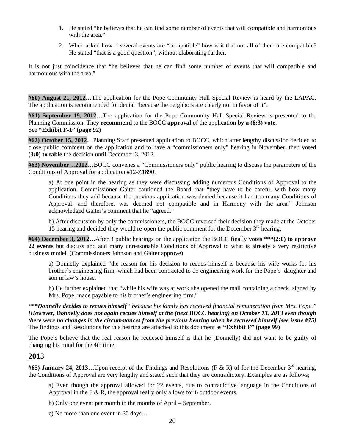- 1. He stated "he believes that he can find some number of events that will compatible and harmonious with the area."
- 2. When asked how if several events are "compatible" how is it that not all of them are compatible? He stated "that is a good question", without elaborating further.

It is not just coincidence that "he believes that he can find some number of events that will compatible and harmonious with the area."

**#60) August 21, 2012…**The application for the Pope Community Hall Special Review is heard by the LAPAC. The application is recommended for denial "because the neighbors are clearly not in favor of it".

**#61) September 19, 2012…**The application for the Pope Community Hall Special Review is presented to the Planning Commission. They **recommend** to the BOCC **approval** of the application **by a (6:3) vote**. See **"Exhibit F-1" (page 92)** 

**#62) October 15, 2012…**Planning Staff presented application to BOCC, which after lengthy discussion decided to close public comment on the application and to have a "commissioners only" hearing in November, then **voted (3:0) to table** the decision until December 3, 2012.

**#63) November…2012…**BOCC convenes a "Commissioners only" public hearing to discuss the parameters of the Conditions of Approval for application #12-Z1890.

 a) At one point in the hearing as they were discussing adding numerous Conditions of Approval to the application, Commissioner Gaiter cautioned the Board that "they have to be careful with how many Conditions they add because the previous application was denied because it had too many Conditions of Approval, and therefore, was deemed not compatible and in Harmony with the area." Johnson acknowledged Gaiter's comment that he "agreed."

 b) After discussion by only the commissioners, the BOCC reversed their decision they made at the October 15 hearing and decided they would re-open the public comment for the December  $3<sup>rd</sup>$  hearing.

**#64) December 3, 2012…**After 3 public hearings on the application the BOCC finally **votes \*\*\*(2:0) to approve 22 events** but discuss and add many unreasonable Conditions of Approval to what is already a very restrictive business model. (Commissioners Johnson and Gaiter approve)

 a) Donnelly explained "the reason for his decision to recues himself is because his wife works for his brother's engineering firm, which had been contracted to do engineering work for the Pope's daughter and son in law's house."

 b) He further explained that "while his wife was at work she opened the mail containing a check, signed by Mrs. Pope, made payable to his brother's engineering firm."

*\*\*\*Donnelly decides to recues himself "because his family has received financial remuneration from Mrs. Pope." [However, Donnelly does not again recues himself at the (next BOCC hearing) on October 13, 2013 even though there were no changes in the circumstances from the previous hearing when he recuesed himself (see issue #75]* The findings and Resolutions for this hearing are attached to this document as **"Exhibit F" (page 99)**

The Pope's believe that the real reason he recuesed himself is that he (Donnelly) did not want to be guilty of changing his mind for the 4th time.

# **201**3

**#65) January 24, 2013...** Upon receipt of the Findings and Resolutions (F & R) of for the December 3<sup>rd</sup> hearing, the Conditions of Approval are very lengthy and stated such that they are contradictory. Examples are as follows;

a) Even though the approval allowed for 22 events, due to contradictive language in the Conditions of Approval in the F  $\&$  R, the approval really only allows for 6 outdoor events.

b) Only one event per month in the months of April – September.

c) No more than one event in 30 days…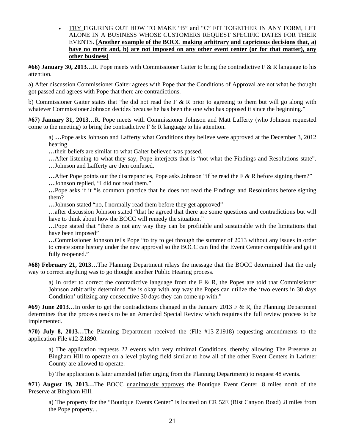• TRY FIGURING OUT HOW TO MAKE "B" and "C" FIT TOGETHER IN ANY FORM, LET ALONE IN A BUSINESS WHOSE CUSTOMERS REQUEST SPECIFIC DATES FOR THEIR EVENTS. **[Another example of the BOCC making arbitrary and capricious decisions that, a) have no merit and, b) are not imposed on any other event center (or for that matter), any other business]**

**#66) January 30, 2013…**R. Pope meets with Commissioner Gaiter to bring the contradictive F & R language to his attention.

 a) After discussion Commissioner Gaiter agrees with Pope that the Conditions of Approval are not what he thought got passed and agrees with Pope that there are contradictions.

 b) Commissioner Gaiter states that "he did not read the F & R prior to agreeing to them but will go along with whatever Commissioner Johnson decides because he has been the one who has opposed it since the beginning."

**#67) January 31, 2013…**R. Pope meets with Commissioner Johnson and Matt Lafferty (who Johnson requested come to the meeting) to bring the contradictive  $F \& R$  language to his attention.

 a) **…**Pope asks Johnson and Lafferty what Conditions they believe were approved at the December 3, 2012 hearing.

**…**their beliefs are similar to what Gaiter believed was passed.

**…**After listening to what they say, Pope interjects that is "not what the Findings and Resolutions state". **…**Johnson and Lafferty are then confused.

**...** After Pope points out the discrepancies, Pope asks Johnson "if he read the F & R before signing them?"  **…**Johnson replied, "I did not read them."

 **…**Pope asks if it "is common practice that he does not read the Findings and Resolutions before signing them?

 **…**Johnson stated "no, I normally read them before they get approved"

**…**after discussion Johnson stated "that he agreed that there are some questions and contradictions but will have to think about how the BOCC will remedy the situation."

 **…**Pope stated that "there is not any way they can be profitable and sustainable with the limitations that have been imposed"

**…**Commissioner Johnson tells Pope "to try to get through the summer of 2013 without any issues in order to create some history under the new approval so the BOCC can find the Event Center compatible and get it fully reopened."

**#68) February 21, 2013…**The Planning Department relays the message that the BOCC determined that the only way to correct anything was to go thought another Public Hearing process.

a) In order to correct the contradictive language from the F  $\&$  R, the Popes are told that Commissioner Johnson arbitrarily determined "he is okay with any way the Popes can utilize the 'two events in 30 days Condition' utilizing any consecutive 30 days they can come up with."

**#69**) **June 2013…**In order to get the contradictions changed in the January 2013 F & R, the Planning Department determines that the process needs to be an Amended Special Review which requires the full review process to be implemented.

**#70) July 8, 2013…**The Planning Department received the (File #13-Z1918) requesting amendments to the application File #12-Z1890.

a) The application requests 22 events with very minimal Conditions, thereby allowing The Preserve at Bingham Hill to operate on a level playing field similar to how all of the other Event Centers in Larimer County are allowed to operate.

b) The application is later amended (after urging from the Planning Department) to request 48 events.

**#71**) **August 19, 2013…**The BOCC unanimously approves the Boutique Event Center .8 miles north of the Preserve at Bingham Hill.

a) The property for the "Boutique Events Center" is located on CR 52E (Rist Canyon Road) .8 miles from the Pope property. .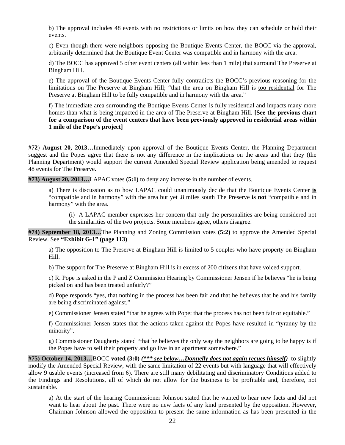b) The approval includes 48 events with no restrictions or limits on how they can schedule or hold their events.

c) Even though there were neighbors opposing the Boutique Events Center, the BOCC via the approval, arbitrarily determined that the Boutique Event Center was compatible and in harmony with the area.

d) The BOCC has approved 5 other event centers (all within less than 1 mile) that surround The Preserve at Bingham Hill.

e) The approval of the Boutique Events Center fully contradicts the BOCC's previous reasoning for the limitations on The Preserve at Bingham Hill; "that the area on Bingham Hill is too residential for The Preserve at Bingham Hill to be fully compatible and in harmony with the area."

f) The immediate area surrounding the Boutique Events Center is fully residential and impacts many more homes than what is being impacted in the area of The Preserve at Bingham Hill. **[See the previous chart for a comparison of the event centers that have been previously approved in residential areas within 1 mile of the Pope's project]** 

**#72**) **August 20, 2013…**Immediately upon approval of the Boutique Events Center, the Planning Department suggest and the Popes agree that there is not any difference in the implications on the areas and that they (the Planning Department) would support the current Amended Special Review application being amended to request 48 events for The Preserve.

**#73) August 20, 2013…**LAPAC votes **(5:1)** to deny any increase in the number of events.

 a) There is discussion as to how LAPAC could unanimously decide that the Boutique Events Center **is** "compatible and in harmony" with the area but yet .8 miles south The Preserve **is not** "compatible and in harmony" with the area.

(i) A LAPAC member expresses her concern that only the personalities are being considered not the similarities of the two projects. Some members agree, others disagree.

**#74) September 18, 2013…**The Planning and Zoning Commission votes **(5:2)** to approve the Amended Special Review. See **"Exhibit G-1" (page 113)** 

a) The opposition to The Preserve at Bingham Hill is limited to 5 couples who have property on Bingham Hill.

b) The support for The Preserve at Bingham Hill is in excess of 200 citizens that have voiced support.

c) R. Pope is asked in the P and Z Commission Hearing by Commissioner Jensen if he believes "he is being picked on and has been treated unfairly?"

d) Pope responds "yes, that nothing in the process has been fair and that he believes that he and his family are being discriminated against."

e) Commissioner Jensen stated "that he agrees with Pope; that the process has not been fair or equitable."

f) Commissioner Jensen states that the actions taken against the Popes have resulted in "tyranny by the minority".

g) Commissioner Daugherty stated "that he believes the only way the neighbors are going to be happy is if the Popes have to sell their property and go live in an apartment somewhere."

**#75) October 14, 2013…**BOCC **voted (3:0)** *(\*\*\* see below…Donnelly does not again recues himself)* to slightly modify the Amended Special Review, with the same limitation of 22 events but with language that will effectively allow 9 usable events (increased from 6). There are still many debilitating and discriminatory Conditions added to the Findings and Resolutions, all of which do not allow for the business to be profitable and, therefore, not sustainable.

a) At the start of the hearing Commissioner Johnson stated that he wanted to hear new facts and did not want to hear about the past. There were no new facts of any kind presented by the opposition. However, Chairman Johnson allowed the opposition to present the same information as has been presented in the